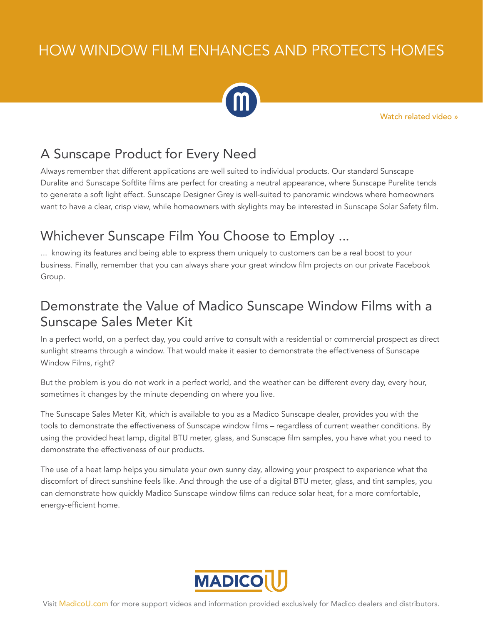## HOW WINDOW FILM ENHANCES AND PROTECTS HOMES



[Watch related video »](https://www.youtube.com/watch?v=UuwC3MHu9Dw&feature=youtu.be)

## A Sunscape Product for Every Need

Always remember that different applications are well suited to individual products. Our standard Sunscape Duralite and Sunscape Softlite films are perfect for creating a neutral appearance, where Sunscape Purelite tends to generate a soft light effect. Sunscape Designer Grey is well-suited to panoramic windows where homeowners want to have a clear, crisp view, while homeowners with skylights may be interested in Sunscape Solar Safety film.

## Whichever Sunscape Film You Choose to Employ ...

... knowing its features and being able to express them uniquely to customers can be a real boost to your business. Finally, remember that you can always share your great window film projects on our private Facebook Group.

## Demonstrate the Value of Madico Sunscape Window Films with a Sunscape Sales Meter Kit

In a perfect world, on a perfect day, you could arrive to consult with a residential or commercial prospect as direct sunlight streams through a window. That would make it easier to demonstrate the effectiveness of Sunscape Window Films, right?

But the problem is you do not work in a perfect world, and the weather can be different every day, every hour, sometimes it changes by the minute depending on where you live.

The Sunscape Sales Meter Kit, which is available to you as a Madico Sunscape dealer, provides you with the tools to demonstrate the effectiveness of Sunscape window films – regardless of current weather conditions. By using the provided heat lamp, digital BTU meter, glass, and Sunscape film samples, you have what you need to demonstrate the effectiveness of our products.

The use of a heat lamp helps you simulate your own sunny day, allowing your prospect to experience what the discomfort of direct sunshine feels like. And through the use of a digital BTU meter, glass, and tint samples, you can demonstrate how quickly Madico Sunscape window films can reduce solar heat, for a more comfortable, energy-efficient home.